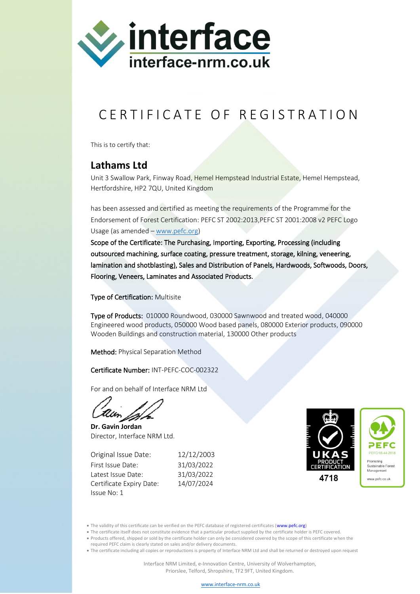

## CERTIFICATE OF REGISTRATION

This is to certify that:

## **Lathams Ltd**

Unit 3 Swallow Park, Finway Road, Hemel Hempstead Industrial Estate, Hemel Hempstead, Hertfordshire, HP2 7QU, United Kingdom

has been assessed and certified as meeting the requirements of the Programme for the Endorsement of Forest Certification: PEFC ST 2002:2013,PEFC ST 2001:2008 v2 PEFC Logo Usage (as amended – [www.pefc.org\)](http://www.pefc.org/)

Scope of the Certificate: The Purchasing, Importing, Exporting, Processing (including outsourced machining, surface coating, pressure treatment, storage, kilning, veneering, lamination and shotblasting), Sales and Distribution of Panels, Hardwoods, Softwoods, Doors, Flooring, Veneers, Laminates and Associated Products.

Type of Certification: Multisite

Type of Products: 010000 Roundwood, 030000 Sawnwood and treated wood, 040000 Engineered wood products, 050000 Wood based panels, 080000 Exterior products, 090000 Wooden Buildings and construction material, 130000 Other products

Method: Physical Separation Method

Certificate Number: INT-PEFC-COC-002322

For and on behalf of Interface NRM Ltd

**Dr. Gavin Jordan** Director, Interface NRM Ltd.

Original Issue Date: 12/12/2003 First Issue Date: 31/03/2022 Latest Issue Date: 31/03/2022 Certificate Expiry Date: 14/07/2024 Issue No: 1



• The validity of this certificate can be verified on the PEFC database of registered certificates (www.pefc.org)

- The certificate itself does not constitute evidence that a particular product supplied by the certificate holder is PEFC covered.
- Products offered, shipped or sold by the certificate holder can only be considered covered by the scope of this certificate when the

required PEFC claim is clearly stated on sales and/or delivery documents.

• The certificate including all copies or reproductions is property of Interface NRM Ltd and shall be returned or destroyed upon request

[www.interface-nrm.co.uk](http://www.interface-nrm.co.uk/)